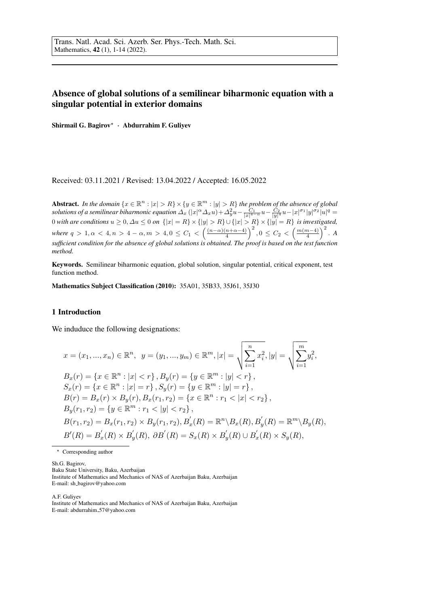## Absence of global solutions of a semilinear biharmonic equation with a singular potential in exterior domains

Shirmail G. Bagirov<sup>\*</sup> · Abdurrahim F. Guliyev

Received: 03.11.2021 / Revised: 13.04.2022 / Accepted: 16.05.2022

Abstract. *In the domain*  $\{x \in \mathbb{R}^n : |x| > R\} \times \{y \in \mathbb{R}^m : |y| > R\}$  *the problem of the absence of global solutions of a semilinear biharmonic equation*  $\Delta_x(|x|^\alpha\Delta_xu)+\Delta_y^2u-\frac{C_1}{|x|^{4-\alpha}}u-\frac{C_2}{|y|^4}u-|x|^{\sigma_1}|y|^{\sigma_2}|u|^q=$ 0 *with are conditions*  $u \ge 0$ ,  $\Delta u \le 0$  *on*  $\{|x| = R\} \times \{|y| > R\} \cup \{|x| > R\} \times \{|y| = R\}$  *is investigated, where*  $q > 1, \alpha < 4, n > 4 - \alpha, m > 4, 0 \le C_1 < \left(\frac{(n-\alpha)(n+\alpha-4)}{4}\right)^2, 0 \le C_2 < \left(\frac{m(m-4)}{4}\right)^2$ . A *sufficient condition for the absence of global solutions is obtained. The proof is based on the test function method.*

Keywords. Semilinear biharmonic equation, global solution, singular potential, critical exponent, test function method.

Mathematics Subject Classification (2010): 35A01, 35B33, 35J61, 35J30

## 1 Introduction

We induduce the following designations:

$$
x = (x_1, ..., x_n) \in \mathbb{R}^n, \quad y = (y_1, ..., y_m) \in \mathbb{R}^m, |x| = \sqrt{\sum_{i=1}^n x_i^2}, |y| = \sqrt{\sum_{i=1}^m y_i^2},
$$
  
\n
$$
B_x(r) = \{x \in \mathbb{R}^n : |x| < r\}, B_y(r) = \{y \in \mathbb{R}^m : |y| < r\},
$$
  
\n
$$
S_x(r) = \{x \in \mathbb{R}^n : |x| = r\}, S_y(r) = \{y \in \mathbb{R}^m : |y| = r\},
$$
  
\n
$$
B(r) = B_x(r) \times B_y(r), B_x(r_1, r_2) = \{x \in \mathbb{R}^n : r_1 < |x| < r_2\},
$$
  
\n
$$
B_y(r_1, r_2) = \{y \in \mathbb{R}^m : r_1 < |y| < r_2\},
$$
  
\n
$$
B(r_1, r_2) = B_x(r_1, r_2) \times B_y(r_1, r_2), B_x'(R) = \mathbb{R}^n \setminus B_x(R), B_y'(R) = \mathbb{R}^m \setminus B_y(R),
$$
  
\n
$$
B'(R) = B_x'(R) \times B_y'(R), \quad \partial B'(R) = S_x(R) \times B_y'(R) \cup B_x'(R) \times S_y(R),
$$

\* Corresponding author

Sh.G. Bagirov, Baku State University, Baku, Azerbaijan Institute of Mathematics and Mechanics of NAS of Azerbaijan Baku, Azerbaijan E-mail: sh bagirov@yahoo.com

A.F. Guliyev Institute of Mathematics and Mechanics of NAS of Azerbaijan Baku, Azerbaijan E-mail: abdurrahim 57@yahoo.com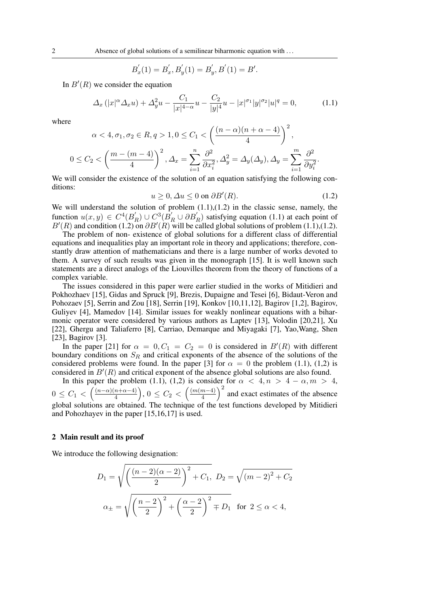$$
B'_x(1) = B'_x, B'_y(1) = B'_y, B'(1) = B'.
$$

In  $B'(R)$  we consider the equation

$$
\Delta_x(|x|^\alpha \Delta_x u) + \Delta_y^2 u - \frac{C_1}{|x|^{4-\alpha}} u - \frac{C_2}{|y|^4} u - |x|^{\sigma_1} |y|^{\sigma_2} |u|^q = 0, \tag{1.1}
$$

where

$$
\alpha < 4, \sigma_1, \sigma_2 \in R, q > 1, 0 \le C_1 < \left(\frac{(n-\alpha)(n+\alpha-4)}{4}\right)^2,
$$
  

$$
0 \le C_2 < \left(\frac{m-(m-4)}{4}\right)^2, \Delta_x = \sum_{i=1}^n \frac{\partial^2}{\partial x_i^2}, \Delta_y^2 = \Delta_y(\Delta_y), \Delta_y = \sum_{i=1}^m \frac{\partial^2}{\partial y_i^2}.
$$

We will consider the existence of the solution of an equation satisfying the following conditions:

$$
u \ge 0, \Delta u \le 0 \text{ on } \partial B'(R). \tag{1.2}
$$

We will understand the solution of problem  $(1.1)$ , $(1.2)$  in the classic sense, namely, the function  $u(x, y) \in C^4(B)$  $E_R$ ) ∪  $C^3(B'_R \cup \partial B'_R)$  satisfying equation (1.1) at each point of  $B'(R)$  and condition (1.2) on  $\partial B'(R)$  will be called global solutions of problem (1.1),(1.2).

The problem of non- existence of global solutions for a different class of differential equations and inequalities play an important role in theory and applications; therefore, constantly draw attention of mathematicians and there is a large number of works devoted to them. A survey of such results was given in the monograph [15]. It is well known such statements are a direct analogs of the Liouvilles theorem from the theory of functions of a complex variable.

The issues considered in this paper were earlier studied in the works of Mitidieri and Pokhozhaev [15], Gidas and Spruck [9], Brezis, Dupaigne and Tesei [6], Bidaut-Veron and Pohozaev [5], Serrin and Zou [18], Serrin [19], Konkov [10,11,12], Bagirov [1,2], Bagirov, Guliyev [4], Mamedov [14]. Similar issues for weakly nonlinear equations with a biharmonic operator were considered by various authors as Laptev [13], Volodin [20,21], Xu [22], Ghergu and Taliaferro [8], Carriao, Demarque and Miyagaki [7], Yao,Wang, Shen [23], Bagirov [3].

In the paper [21] for  $\alpha = 0, C_1 = C_2 = 0$  is considered in  $B'(R)$  with different boundary conditions on  $S_R$  and critical exponents of the absence of the solutions of the considered problems were found. In the paper [3] for  $\alpha = 0$  the problem (1.1), (1,2) is considered in  $B'(R)$  and critical exponent of the absence global solutions are also found.

In this paper the problem (1.1), (1,2) is consider for  $\alpha < 4, n > 4 - \alpha, m > 4$ ,  $0 \leq C_1 < \left(\frac{(n-\alpha)(n+\alpha-4)}{4}\right)$  $\left(\frac{m+n-4}{4}\right), 0 \leq C_2 < \left(\frac{(m(m-4))}{4}\right)$  $\left(\frac{(m-4)}{4}\right)^2$  and exact estimates of the absence global solutions are obtained. The technique of the test functions developed by Mitidieri and Pohozhayev in the paper [15,16,17] is used.

## 2 Main result and its proof

We introduce the following designation:

$$
D_1 = \sqrt{\left(\frac{(n-2)(\alpha-2)}{2}\right)^2 + C_1}, \ D_2 = \sqrt{(m-2)^2 + C_2}
$$

$$
\alpha_{\pm} = \sqrt{\left(\frac{n-2}{2}\right)^2 + \left(\frac{\alpha-2}{2}\right)^2 + D_1} \quad \text{for } 2 \le \alpha < 4,
$$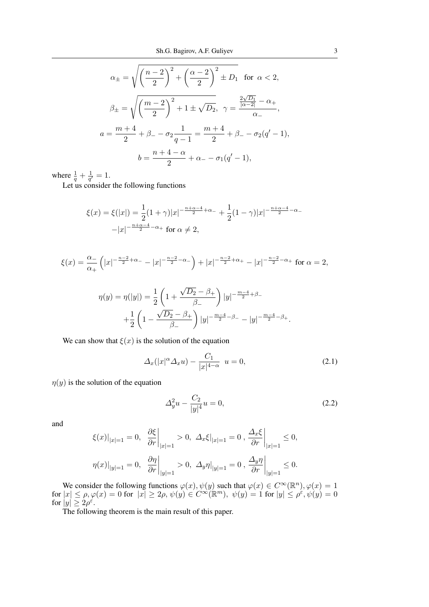$$
\alpha_{\pm} = \sqrt{\left(\frac{n-2}{2}\right)^2 + \left(\frac{\alpha-2}{2}\right)^2} \pm D_1 \text{ for } \alpha < 2,
$$
  

$$
\beta_{\pm} = \sqrt{\left(\frac{m-2}{2}\right)^2 + 1} \pm \sqrt{D_2}, \ \gamma = \frac{\frac{2\sqrt{D_1}}{|\alpha-2|} - \alpha_+}{\alpha_-},
$$
  

$$
a = \frac{m+4}{2} + \beta_- - \sigma_2 \frac{1}{q-1} = \frac{m+4}{2} + \beta_- - \sigma_2 (q'-1),
$$
  

$$
b = \frac{n+4-\alpha}{2} + \alpha_- - \sigma_1 (q'-1),
$$

where  $\frac{1}{q} + \frac{1}{q'}$  $\frac{1}{q'}=1.$ 

Let us consider the following functions

$$
\xi(x) = \xi(|x|) = \frac{1}{2}(1+\gamma)|x|^{-\frac{n+\alpha-4}{2}+\alpha-} + \frac{1}{2}(1-\gamma)|x|^{-\frac{n+\alpha-4}{2}-\alpha-}
$$

$$
-|x|^{-\frac{n+\alpha-4}{2}-\alpha+} \text{ for } \alpha \neq 2,
$$

$$
\xi(x) = \frac{\alpha_{-}}{\alpha_{+}} \left( |x|^{-\frac{n-2}{2} + \alpha_{-}} - |x|^{-\frac{n-2}{2} - \alpha_{-}} \right) + |x|^{-\frac{n-2}{2} + \alpha_{+}} - |x|^{-\frac{n-2}{2} - \alpha_{+}} \text{ for } \alpha = 2,
$$

$$
\eta(y) = \eta(|y|) = \frac{1}{2} \left( 1 + \frac{\sqrt{D_2} - \beta_+}{\beta_-} \right) |y|^{-\frac{m-4}{2} + \beta_-} + \frac{1}{2} \left( 1 - \frac{\sqrt{D_2} - \beta_+}{\beta_-} \right) |y|^{-\frac{m-4}{2} - \beta_-} - |y|^{-\frac{m-4}{2} - \beta_+}.
$$

We can show that  $\xi(x)$  is the solution of the equation

$$
\Delta_x(|x|^\alpha \Delta_x u) - \frac{C_1}{|x|^{4-\alpha}} u = 0, \qquad (2.1)
$$

 $\eta(y)$  is the solution of the equation

$$
\Delta_y^2 u - \frac{C_2}{|y|^4} u = 0,\t\t(2.2)
$$

and

$$
\xi(x)|_{|x|=1} = 0, \quad \frac{\partial \xi}{\partial r}\Big|_{|x|=1} > 0, \ \Delta_x \xi|_{|x|=1} = 0, \frac{\Delta_x \xi}{\partial r}\Big|_{|x|=1} \le 0,
$$
  

$$
\eta(x)|_{|y|=1} = 0, \quad \frac{\partial \eta}{\partial r}\Big|_{|y|=1} > 0, \ \Delta_y \eta|_{|y|=1} = 0, \frac{\Delta_y \eta}{\partial r}\Big|_{|y|=1} \le 0.
$$

We consider the following functions  $\varphi(x)$ ,  $\psi(y)$  such that  $\varphi(x) \in C^{\infty}(\mathbb{R}^n)$ ,  $\varphi(x) = 1$  $\text{for } |x| \leq \rho, \varphi(x) = 0 \text{ for } |x| \geq 2\rho, \psi(y) \in C^{\infty}(\mathbb{R}^m), \psi(y) = 1 \text{ for } |y| \leq \rho^{\varepsilon}, \psi(y) = 0$ for  $|y| \geq 2\rho^{\varepsilon}$ .

The following theorem is the main result of this paper.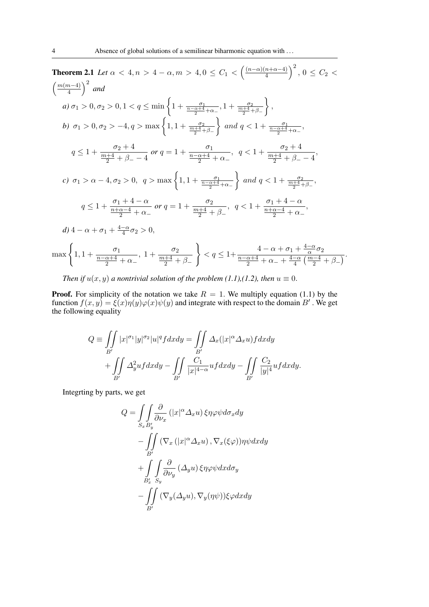**Theorem 2.1** *Let*  $\alpha < 4, n > 4 - \alpha, m > 4, 0 \le C_1 < \left(\frac{(n-\alpha)(n+\alpha-4)}{4}\right)$  $\frac{(n+\alpha-4)}{4}$   $\Big)^2$ ,  $0 \leq C_2$  $\left(\frac{m(m-4)}{2}\right)$  $\left(\frac{n-4}{4}\right)^2$  and *a*)  $\sigma_1 > 0, \sigma_2 > 0, 1 < q \le \min\left\{1 + \frac{\sigma_1}{\frac{n-\alpha+4}{2} + \alpha_-}, 1 + \frac{\sigma_2}{\frac{m+4}{2} + \beta_-}\right\}$  $\left.\right\}$ , *b*)  $\sigma_1 > 0, \sigma_2 > -4, q > \max\left\{1, 1 + \frac{\sigma_2}{\frac{m+4}{2} + \beta_-}\right\}$ } and  $q < 1 + \frac{\sigma_1}{\frac{n-\alpha+4}{2} + \alpha_-}$ ,  $q \leq 1 + \frac{\sigma_2 + 4}{m+4}$  $\frac{m+4}{2} + \beta_- - 4$ *or*  $q = 1 + \frac{\sigma_1}{n - \alpha + 4}$  $\frac{n-\alpha+4}{2} + \alpha$  $, q < 1 + \frac{\sigma_2 + 4}{m + 4}$  $\frac{m+4}{2} + \beta_- - 4$ , *c*)  $\sigma_1 > \alpha - 4, \sigma_2 > 0, q > \max\left\{1, 1 + \frac{\sigma_1}{\frac{n-\alpha+4}{2} + \alpha_-}\right\}$ } and  $q < 1 + \frac{\sigma_2}{\frac{m+4}{2} + \beta_-}$ ,  $q \leq 1 + \frac{\sigma_1 + 4 - \alpha}{n + \alpha - 4}$  $\frac{n+\alpha-4}{2} + \alpha$ *or*  $q = 1 + \frac{\sigma_2}{m+4}$  $\frac{m+4}{2} + \beta$  $, q < 1 + \frac{\sigma_1 + 4 - \alpha}{n + \alpha - 4}$  $\frac{n+\alpha-4}{2} + \alpha$ , *d*)  $4 - \alpha + \sigma_1 + \frac{4-\alpha}{4}$  $\frac{-\alpha}{4}\sigma_2 > 0,$  $\max\left\{1,1+\frac{\sigma_1}{n-\alpha+4}\right\}$  $\frac{n-\alpha+4}{2} + \alpha$ , 1 +  $\frac{\sigma_2}{m+4}$  $\frac{m+4}{2} + \beta$  $\mathcal{L}$  $\lt q \leq 1 + \frac{4-\alpha}{n-\alpha+4}$  $\frac{-\alpha}{\alpha}\sigma_2$  $\frac{n-\alpha+4}{2} + \alpha_- + \frac{4-\alpha}{4}$  $\frac{-\alpha}{4}\left(\frac{m-4}{2}+\beta_-\right)$ 

*Then if*  $u(x, y)$  *a nontrivial solution of the problem* (1.1),(1.2), then  $u \equiv 0$ .

**Proof.** For simplicity of the notation we take  $R = 1$ . We multiply equation (1.1) by the function  $f(x, y) = \xi(x)\eta(y)\varphi(x)\psi(y)$  and integrate with respect to the domain B'. We get the following equality

$$
Q \equiv \iint\limits_{B'} |x|^{\sigma_1} |y|^{\sigma_2} |u|^q f dx dy = \iint\limits_{B'} \Delta_x(|x|^\alpha \Delta_x u) f dx dy + \iint\limits_{B'} \Delta_y^2 u f dx dy - \iint\limits_{B'} \frac{C_1}{|x|^{4-\alpha}} u f dx dy - \iint\limits_{B'} \frac{C_2}{|y|^4} u f dx dy.
$$

Integrting by parts, we get

$$
Q = \int\int_{S_x} \frac{\partial}{\partial \nu_x} (|x|^\alpha \Delta_x u) \xi \eta \varphi \psi d\sigma_x dy
$$
  

$$
- \int\int_{B'} (\nabla_x (|x|^\alpha \Delta_x u), \nabla_x (\xi \varphi)) \eta \psi dx dy
$$
  

$$
+ \int\int_{B'_x} \int_{S_y} \frac{\partial}{\partial \nu_y} (\Delta_y u) \xi \eta \varphi \psi dx d\sigma_y
$$
  

$$
- \int\int_{B'} (\nabla_y (\Delta_y u), \nabla_y (\eta \psi)) \xi \varphi dx dy
$$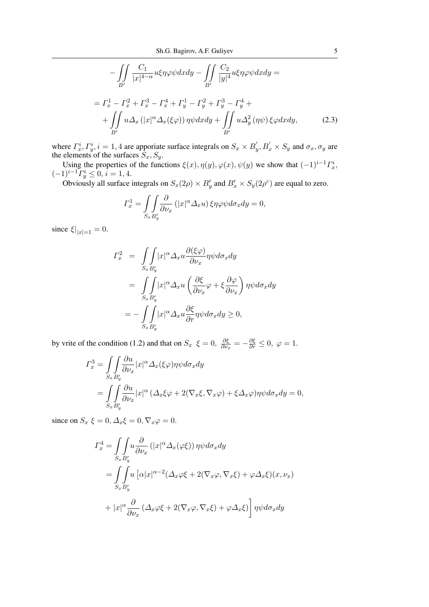$$
-\iint_{B'} \frac{C_1}{|x|^{4-\alpha}} u\xi \eta \varphi \psi dx dy - \iint_{B'} \frac{C_2}{|y|^4} u\xi \eta \varphi \psi dx dy =
$$
  

$$
= \Gamma_x^1 - \Gamma_x^2 + \Gamma_x^3 - \Gamma_x^4 + \Gamma_y^1 - \Gamma_y^2 + \Gamma_y^3 - \Gamma_y^4 +
$$
  

$$
+ \iint_{B'} u\Delta_x (|x|^\alpha \Delta_x(\xi\varphi)) \eta \psi dx dy + \iint_{B'} u\Delta_y^2 (\eta \psi) \xi \varphi dx dy, \qquad (2.3)
$$

where  $\Gamma_x^i$ ,  $\Gamma_y^i$ ,  $i = 1, 4$  are apporiate surface integrals on  $S_x \times B_y'$ ,  $B_x' \times S_y$  and  $\sigma_x$ ,  $\sigma_y$  are the elements of the surfaces  $S_x, S_y$ .

Using the properties of the functions  $\xi(x)$ ,  $\eta(y)$ ,  $\varphi(x)$ ,  $\psi(y)$  we show that  $(-1)^{i-1} \Gamma_x^i$ ,  $(-1)^{i-1} \overline{\Gamma^i_y} \leq 0, i = 1, 4.$ 

Obviously all surface integrals on  $S_x(2\rho) \times B'_y$  and  $B'_x \times S_y(2\rho^{\epsilon})$  are equal to zero.

$$
\Gamma_x^1 = \iint_{S_x B_y'} \frac{\partial}{\partial \nu_x} \left( |x|^\alpha \Delta_x u \right) \xi \eta \varphi \psi d\sigma_x dy = 0,
$$

since  $\xi|_{|x|=1} = 0$ .

$$
I_x^2 = \int \int \int |x|^{\alpha} \Delta_x u \frac{\partial(\xi \varphi)}{\partial \nu_x} \eta \psi d\sigma_x dy
$$
  
= 
$$
\int \int \int |x|^{\alpha} \Delta_x u \left( \frac{\partial \xi}{\partial \nu_x} \varphi + \xi \frac{\partial \varphi}{\partial \nu_x} \right) \eta \psi d\sigma_x dy
$$
  
= 
$$
- \int \int \int |x|^{\alpha} \Delta_x u \frac{\partial \xi}{\partial r} \eta \psi d\sigma_x dy \ge 0,
$$

by vrite of the condition (1.2) and that on  $S_x \xi = 0$ ,  $\frac{\partial \xi}{\partial \nu}$  $\frac{\partial \xi}{\partial \nu_x} = -\frac{\partial \xi}{\partial r} \leq 0, \ \varphi = 1.$ 

$$
\begin{split} \varGamma_x^3 &= \int \int \frac{\partial u}{\partial \nu_x} |x|^\alpha \varDelta_x(\xi \varphi) \eta \psi d\sigma_x dy \\ &= \int \int \frac{\partial u}{\partial \nu_x} |x|^\alpha \left( \varDelta_x \xi \varphi + 2(\nabla_x \xi, \nabla_x \varphi) + \xi \varDelta_x \varphi \right) \eta \psi d\sigma_x dy = 0, \end{split}
$$

since on  $S_x \xi = 0$ ,  $\Delta_x \xi = 0$ ,  $\nabla_x \varphi = 0$ .

$$
\Gamma_x^4 = \int \int \int u \frac{\partial}{\partial \nu_x} \left( |x|^\alpha \Delta_x(\varphi \xi) \right) \eta \psi d\sigma_x dy
$$
  
= 
$$
\int \int u \left[ \alpha |x|^{\alpha - 2} (\Delta_x \varphi \xi + 2(\nabla_x \varphi, \nabla_x \xi) + \varphi \Delta_x \xi)(x, \nu_x) \right. \left. + |x|^\alpha \frac{\partial}{\partial \nu_x} (\Delta_x \varphi \xi + 2(\nabla_x \varphi, \nabla_x \xi) + \varphi \Delta_x \xi) \right] \eta \psi d\sigma_x dy
$$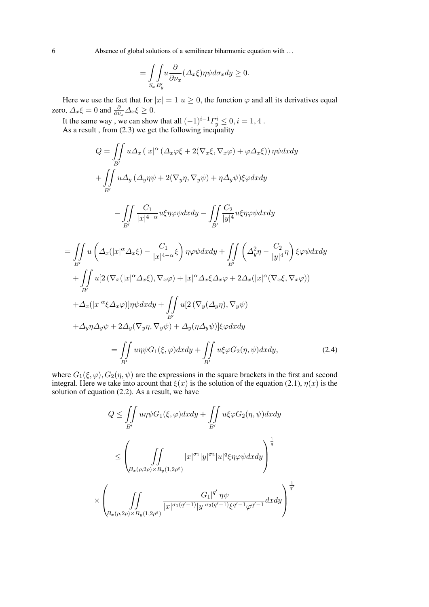$$
= \int_{S_x B_y'} u \frac{\partial}{\partial \nu_x} (\Delta_x \xi) \eta \psi d\sigma_x dy \ge 0.
$$

Here we use the fact that for  $|x| = 1$   $u \ge 0$ , the function  $\varphi$  and all its derivatives equal zero,  $\Delta_x \xi = 0$  and  $\frac{\partial}{\partial \nu_x} \Delta_x \xi \geq 0$ .

It the same way, we can show that all  $(-1)^{i-1} \Gamma^i_y \leq 0, i = 1, 4$ . As a result , from (2.3) we get the following inequality

$$
Q = \iint_{B'} u\Delta_x (|x|^{\alpha} (\Delta_x \varphi \xi + 2(\nabla_x \xi, \nabla_x \varphi) + \varphi \Delta_x \xi)) \eta \psi dx dy
$$
  
+ 
$$
\iint_{B'} u\Delta_y (\Delta_y \eta \psi + 2(\nabla_y \eta, \nabla_y \psi) + \eta \Delta_y \psi) \xi \varphi dx dy
$$
  
- 
$$
\iint_{B'} \frac{C_1}{|x|^{4-\alpha}} u\xi \eta \varphi \psi dx dy - \iint_{B'} \frac{C_2}{|y|^{4}} u\xi \eta \varphi \psi dx dy
$$
  
= 
$$
\iint_{B'} u (\Delta_x (|x|^{\alpha} \Delta_x \xi) - \frac{C_1}{|x|^{4-\alpha}} \xi) \eta \varphi \psi dx dy + \iint_{B'} (\Delta_y^2 \eta - \frac{C_2}{|y|^{4}} \eta) \xi \varphi \psi dx dy
$$
  
+ 
$$
\iint_{B'} u [2 (\nabla_x (|x|^{\alpha} \Delta_x \xi), \nabla_x \varphi) + |x|^{\alpha} \Delta_x \xi \Delta_x \varphi + 2 \Delta_x (|x|^{\alpha} (\nabla_x \xi, \nabla_x \varphi))
$$
  
+ 
$$
\Delta_x (|x|^{\alpha} \xi \Delta_x \varphi) ] \eta \psi dx dy + \iint_{B'} u [2 (\nabla_y (\Delta_y \eta), \nabla_y \psi)
$$
  
+ 
$$
\Delta_y \eta \Delta_y \psi + 2 \Delta_y (\nabla_y \eta, \nabla_y \psi) + \Delta_y (\eta \Delta_y \psi) ] \xi \varphi dx dy
$$
  
= 
$$
\iint_{B'} u \eta \psi G_1 (\xi, \varphi) dx dy + \iint_{B'} u\xi \varphi G_2 (\eta, \psi) dx dy, \qquad (2.4)
$$

where  $G_1(\xi, \varphi), G_2(\eta, \psi)$  are the expressions in the square brackets in the first and second integral. Here we take into acount that  $\xi(x)$  is the solution of the equation (2.1),  $\eta(x)$  is the solution of equation (2.2). As a result, we have

$$
Q \leq \iint_{B'} u\eta \psi G_1(\xi, \varphi) dx dy + \iint_{B'} u\xi \varphi G_2(\eta, \psi) dx dy
$$
  
\n
$$
\leq \left(\iint_{B_x(\rho, 2\rho) \times B_y(1, 2\rho^{\varepsilon})} |x|^{\sigma_1} |y|^{\sigma_2} |u|^q \xi \eta \varphi \psi dx dy\right)^{\frac{1}{q}}
$$
  
\n
$$
\times \left(\iint_{B_x(\rho, 2\rho) \times B_y(1, 2\rho^{\varepsilon})} \frac{|G_1|^{q'} \eta \psi}{|x|^{\sigma_1(q'-1)} |y|^{\sigma_2(q'-1)} \xi^{q'-1} \varphi^{q'-1}} dx dy\right)^{\frac{1}{q'}}
$$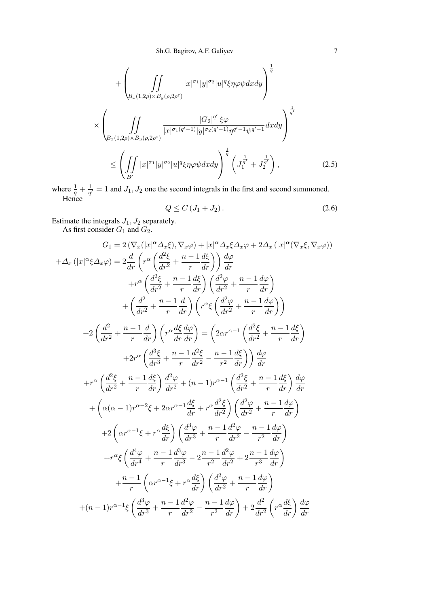$$
+\left(\iint\limits_{B_x(1,2\rho)\times B_y(\rho,2\rho^{\varepsilon})}\vert x\vert^{\sigma_1}\vert y\vert^{\sigma_2}\vert u\vert^q\xi\eta\varphi\psi dx dy\right)^{\frac{1}{q}}\times\left(\iint\limits_{B_x(1,2\rho)\times B_y(\rho,2\rho^{\varepsilon})}\frac{\vert G_2\vert^{q'}\xi\varphi}{\vert x\vert^{\sigma_1(q'-1)}\vert y\vert^{\sigma_2(q'-1)}\eta^{q'-1}\psi^{q'-1}}dxdy\right)^{\frac{1}{q'}}\leq\left(\iint\limits_{B'}\vert x\vert^{\sigma_1}\vert y\vert^{\sigma_2}\vert u\vert^q\xi\eta\varphi\psi dx dy\right)^{\frac{1}{q}}\left(J_1^{\frac{1}{q'}}+J_2^{\frac{1}{q'}}\right),\tag{2.5}
$$

where  $\frac{1}{q} + \frac{1}{q'}$  $\frac{1}{q'} = 1$  and  $J_1, J_2$  one the second integrals in the first and second summoned. Hence

$$
Q \leq C \left( J_1 + J_2 \right). \tag{2.6}
$$

Estimate the integrals  $J_1, J_2$  separately.

As first consider  $G_1$  and  $G_2$ .

$$
G_1 = 2\left(\nabla_x(|x|^{\alpha}\Delta_x\xi), \nabla_x\varphi\right) + |x|^{\alpha}\Delta_x\xi\Delta_x\varphi + 2\Delta_x\left(|x|^{\alpha}\left(\nabla_x\xi, \nabla_x\varphi\right)\right)
$$

$$
+ \Delta_x\left(|x|^{\alpha}\xi\Delta_x\varphi\right) = 2\frac{d}{dr}\left(r^{\alpha}\left(\frac{d^2\xi}{dr^2} + \frac{n-1}{r}\frac{d\xi}{dr}\right)\right)\frac{d\varphi}{dr}
$$

$$
+ r^{\alpha}\left(\frac{d^2\xi}{dr^2} + \frac{n-1}{r}\frac{d\xi}{dr}\right)\left(\frac{d^2\varphi}{dr^2} + \frac{n-1}{r}\frac{d\varphi}{dr}\right)
$$

$$
+ \left(\frac{d^2}{dr^2} + \frac{n-1}{r}\frac{d}{dr}\right)\left(r^{\alpha}\xi\left(\frac{d^2\varphi}{dr^2} + \frac{n-1}{r}\frac{d\varphi}{dr}\right)\right)
$$

$$
+ 2\left(\frac{d^2}{dr^2} + \frac{n-1}{r}\frac{d}{dr}\right)\left(r^{\alpha}\frac{d\xi}{dr}\frac{d\varphi}{dr}\right) = \left(2\alpha r^{\alpha-1}\left(\frac{d^2\xi}{dr^2} + \frac{n-1}{r}\frac{d\xi}{dr}\right)\right)
$$

$$
+ 2r^{\alpha}\left(\frac{d^3\xi}{dr^3} + \frac{n-1}{r}\frac{d^2\xi}{dr^2} - \frac{n-1}{r^2}\frac{d\xi}{dr}\right)\right)\frac{d\varphi}{dr}
$$

$$
+ r^{\alpha}\left(\frac{d^2\xi}{dr^2} + \frac{n-1}{r}\frac{d\xi}{dr}\right)\frac{d^2\varphi}{dr^2} + (n-1)r^{\alpha-1}\left(\frac{d^2\xi}{dr^2} + \frac{n-1}{r}\frac{d\xi}{dr}\right)\frac{d\varphi}{dr}
$$

$$
+ \left(\alpha(\alpha-1)r^{\alpha-2}\xi + 2\alpha r^{\alpha-1}\frac{d\xi}{dr} + r^{\alpha}\frac{d^2\xi}{dr^2}\right)\left(\frac{d^2\varphi}{dr^2} + \frac{n-1}{r}\frac{d\varphi}{dr}\right)
$$

$$
+ 2
$$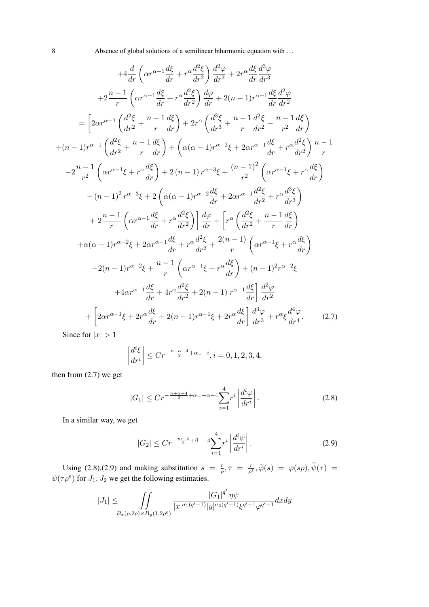$$
+4\frac{d}{dr}\left(\alpha r^{\alpha-1}\frac{d\xi}{dr}+r^{\alpha}\frac{d^2\xi}{dr^2}\right)\frac{d^2\varphi}{dr^2}+2r^{\alpha}\frac{d\xi}{dr}\frac{d^3\varphi}{dr^3}
$$
\n
$$
+2\frac{n-1}{r}\left(\alpha r^{\alpha-1}\frac{d\xi}{dr}+r^{\alpha}\frac{d^2\xi}{dr^2}\right)\frac{d\varphi}{dr}+2(n-1)r^{\alpha-1}\frac{d\xi}{dr}\frac{d^2\varphi}{dr^2}
$$
\n
$$
=\left[2\alpha r^{\alpha-1}\left(\frac{d^2\xi}{dr^2}+\frac{n-1}{r}\frac{d\xi}{dr}\right)+2r^{\alpha}\left(\frac{d^3\xi}{dr^3}+\frac{n-1}{r}\frac{d^2\xi}{dr^2}-\frac{n-1}{r^2}\frac{d\xi}{dr}\right)
$$
\n
$$
+(n-1)r^{\alpha-1}\left(\frac{d^2\xi}{dr^2}+\frac{n-1}{r}\frac{d\xi}{dr}\right)+\left(\alpha(\alpha-1)r^{\alpha-2}\xi+2\alpha r^{\alpha-1}\frac{d\xi}{dr}+r^{\alpha}\frac{d^2\xi}{dr^2}\right)\frac{n-1}{r}
$$
\n
$$
-2\frac{n-1}{r^2}\left(\alpha r^{\alpha-1}\xi+r^{\alpha}\frac{d\xi}{dr}\right)+2(n-1)r^{\alpha-3}\xi+\frac{(n-1)^2}{r^2}\left(\alpha r^{\alpha-1}\xi+r^{\alpha}\frac{d\xi}{dr}\right)
$$
\n
$$
-(n-1)^2r^{\alpha-3}\xi+2\left(\alpha(\alpha-1)r^{\alpha-2}\frac{d\xi}{dr}+2\alpha r^{\alpha-1}\frac{d^2\xi}{dr^2}+r^{\alpha}\frac{d^3\xi}{dr^3}\right)
$$
\n
$$
+2\frac{n-1}{r}\left(\alpha r^{\alpha-1}\frac{d\xi}{dr}+r^{\alpha}\frac{d^2\xi}{dr^2}\right)\frac{d\varphi}{dr}+\left[r^{\alpha}\left(\frac{d^2\xi}{dr^2}+\frac{n-1}{r}\frac{d\xi}{dr}\right)
$$
\n
$$
+(\alpha-1)r^{\alpha-2}\xi+2\alpha r^{\alpha-1}\frac{d\xi}{dr}+r^{\alpha}\frac{d
$$

Since for  $|x| > 1$ 

$$
\left| \frac{d^{i}\xi}{dr^{i}} \right| \le Cr^{-\frac{n+\alpha-4}{2}+\alpha_{-}-i}, i = 0, 1, 2, 3, 4,
$$

then from (2.7) we get

$$
|G_1| \le Cr^{-\frac{n+\alpha-4}{2}+\alpha_{-}+\alpha-4} \sum_{i=1}^4 r^i \left| \frac{d^i \varphi}{dr^i} \right|.
$$
 (2.8)

In a similar way, we get

$$
|G_2| \le Cr^{-\frac{m-4}{2}+\beta_--4} \sum_{i=1}^4 r^i \left| \frac{d^i \psi}{dr^i} \right|.
$$
 (2.9)

Using (2.8),(2.9) and making substitution  $s = \frac{r}{c}$  $\frac{r}{\rho}, \tau = \frac{r}{\rho^3}$ Using (2.8),(2.9) and making substitution  $s = \frac{r}{\rho}, \tau = \frac{r}{\rho^{\epsilon}}, \tilde{\varphi}(s) = \varphi(s\rho), \psi(\tau) = \psi(\tau\rho^{\epsilon})$  for  $J_1, J_2$  we get the following estimaties.

$$
|J_1| \leq \iint\limits_{B_x(\rho, 2\rho) \times B_y(1, 2\rho^\varepsilon)} \frac{|G_1|^{q'} \eta \psi}{|x|^{\sigma_1(q'-1)} |y|^{\sigma_2(q'-1)} \xi^{q'-1} \varphi^{q'-1}} dx dy
$$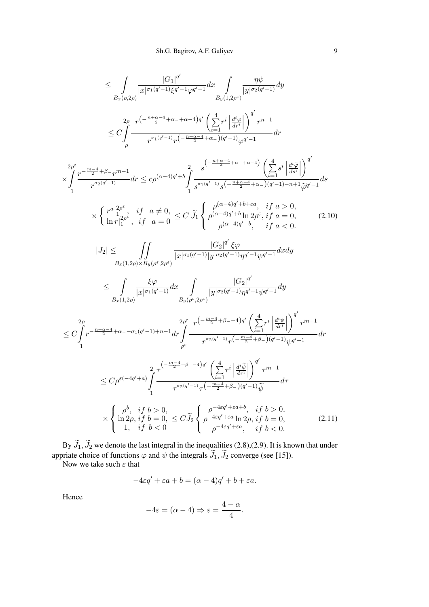$$
\leq \int_{B_{x}(\rho,2\rho)} \frac{|G_{1}|^{q'}}{|x|^{\sigma_{1}(q'-1)}\xi^{q'-1}\varphi^{q'-1}} dx \int_{B_{y}(1,2\rho^{\varepsilon})} \frac{\eta\psi}{|y|^{\sigma_{2}(q'-1)}} dy
$$
\n
$$
\leq C \int_{\rho} \frac{r^{(-\frac{n+\alpha -4}{2}+\alpha -4-\alpha -4)q'}}{r^{\sigma_{1}(q'-1)}r^{(-\frac{n+\alpha -4}{2}+\alpha -1)(q'-1)}\varphi^{q'-1}} dr
$$
\n
$$
\times \int_{1}^{2\rho^{\varepsilon}} \frac{r^{-\frac{m-4}{2}+\beta}r^{m-1}}{r^{\sigma_{2}(q'-1)}} dr \leq c\rho^{(\alpha-4)q'+b} \int_{1}^{2} \frac{s^{(-\frac{n+\alpha -4}{2}+\alpha -1+\alpha -4)}}{s^{\sigma_{1}(q'-1)}s^{(-\frac{n+\alpha -4}{2}+\alpha -1)(q'-1)-n+1}\varphi^{q'-1}} ds
$$
\n
$$
\times \left\{ \frac{r^{a}|_{1}^{2\rho^{\varepsilon}}}{r^{a_{2}(q'-1)}} \frac{if\ a \neq 0}{a=0} \leq C \ \tilde{\mathcal{J}}_{1} \right\} \int_{\rho^{(\alpha-4)q'+b} \ \frac{1}{\rho^{(\alpha-4)q'+b}} \prod_{j=1}^{j=2} \frac{1}{\alpha^{j}} e^{-\alpha} \int_{\rho^{(\alpha-4)q'+b}} \frac{1}{\alpha^{j}} e^{-\alpha} \int_{\rho^{(\alpha-4)q'+b}} \frac{1}{\alpha^{j}} e^{-\alpha} \int_{\rho^{(\alpha-4)q'+b}} \frac{1}{\alpha^{j}} e^{-\alpha} \int_{\rho^{(\alpha-4)q'+b}} \frac{1}{\alpha^{j}} e^{-\alpha} \int_{\rho^{(\alpha-4)q'+b}} \frac{1}{\alpha^{j}} e^{-\alpha} \int_{\rho^{(\alpha-4)q'+b}} \frac{1}{\alpha^{j}} e^{-\alpha} \int_{\rho^{(\alpha-4)q'+b}} \frac{1}{\alpha^{j}} e^{-\alpha} \int_{\rho^{(\alpha-4)q'+b}} \frac{1}{\alpha^{j}} e^{-\alpha} \int_{\rho^{(\alpha-4)q'+b}} \frac{1}{\alpha^{j}} e^{-\alpha} \int_{\rho^{(\alpha-
$$

By  $J_1$ ,  $J_2$  we denote the last integral in the inequalities (2.8),(2.9). It is known that under appriate choice of functions  $\varphi$  and  $\psi$  the integrals  $J_1, J_2$  converge (see [15]).<br>Now we take such  $\varepsilon$  that

$$
-4\varepsilon q' + \varepsilon a + b = (\alpha - 4)q' + b + \varepsilon a.
$$

Hence

$$
-4\varepsilon = (\alpha - 4) \Rightarrow \varepsilon = \frac{4 - \alpha}{4}.
$$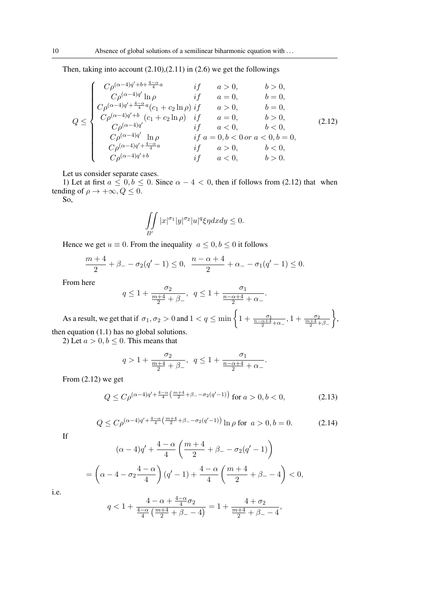Then, taking into account  $(2.10)$ , $(2.11)$  in  $(2.6)$  we get the followings

$$
Q \leq \begin{cases} C\rho^{(\alpha-4)q'+b+\frac{4-\alpha}{4}a} & \text{if} & a > 0, \quad b > 0, \\ C\rho^{(\alpha-4)q'}\ln \rho & \text{if} & a = 0, \quad b = 0, \\ C\rho^{(\alpha-4)q'+\frac{4-\alpha}{4}a}(c_1+c_2\ln \rho) & \text{if} & a > 0, \quad b = 0, \\ C\rho^{(\alpha-4)q'+b} & (c_1+c_2\ln \rho) & \text{if} & a = 0, \quad b > 0, \\ C\rho^{(\alpha-4)q'} & \text{if} & a < 0, \quad b < 0, \\ C\rho^{(\alpha-4)q'}\ln \rho & \text{if} & a = 0, b < 0 \text{ or } a < 0, b = 0, \\ C\rho^{(\alpha-4)q'+\frac{4-\alpha}{4}a} & \text{if} & a > 0, \quad b < 0, \\ C\rho^{(\alpha-4)q'+\frac{4-\alpha}{4}a} & \text{if} & a > 0, \quad b < 0, \\ C\rho^{(\alpha-4)q'+b} & \text{if} & a < 0, \quad b > 0. \end{cases} \tag{2.12}
$$

Let us consider separate cases.

1) Let at first  $a \leq 0, b \leq 0$ . Since  $\alpha - 4 < 0$ , then if follows from (2.12) that when tending of  $\rho \to +\infty, Q \leq 0$ .

So,

$$
\iint\limits_{B'} |x|^{\sigma_1} |y|^{\sigma_2} |u|^q \xi \eta dx dy \le 0.
$$

Hence we get  $u \equiv 0$ . From the inequality  $a \leq 0, b \leq 0$  it follows

$$
\frac{m+4}{2} + \beta_- - \sigma_2(q'-1) \le 0, \ \frac{n-\alpha+4}{2} + \alpha_- - \sigma_1(q'-1) \le 0.
$$

From here

$$
q\leq 1+\frac{\sigma_2}{\frac{m+4}{2}+\beta_-},\;\;q\leq 1+\frac{\sigma_1}{\frac{n-\alpha+4}{2}+\alpha_-}
$$

As a result, we get that if  $\sigma_1, \sigma_2 > 0$  and  $1 < q \le \min\left\{1 + \frac{\sigma_1}{\frac{n-\alpha+4}{2} + \alpha_-}, 1 + \frac{\sigma_2}{\frac{m+4}{2} + \beta_-}\right\}$  $\left.\right\}$ then equation (1.1) has no global solutions.

2) Let  $a > 0, b \le 0$ . This means that

$$
q>1+\frac{\sigma_2}{\frac{m+4}{2}+\beta_-},\;\;q\leq 1+\frac{\sigma_1}{\frac{n-\alpha+4}{2}+\alpha_-}.
$$

From (2.12) we get

$$
Q \le C\rho^{(\alpha-4)q' + \frac{4-\alpha}{4}\left(\frac{m+4}{2} + \beta - \sigma_2(q'-1)\right)} \text{ for } a > 0, b < 0,
$$
 (2.13)

.

$$
Q \le C\rho^{(\alpha-4)q' + \frac{4-\alpha}{4}\left(\frac{m+4}{2} + \beta - \sigma_2(q'-1)\right)} \ln \rho \text{ for } a > 0, b = 0.
$$
 (2.14)

If

$$
(\alpha - 4)q' + \frac{4 - \alpha}{4} \left( \frac{m + 4}{2} + \beta_{-} - \sigma_{2}(q' - 1) \right)
$$
  
=  $\left( \alpha - 4 - \sigma_{2} \frac{4 - \alpha}{4} \right) (q' - 1) + \frac{4 - \alpha}{4} \left( \frac{m + 4}{2} + \beta_{-} - 4 \right) < 0,$ 

i.e.

$$
q < 1 + \frac{4-\alpha+\frac{4-\alpha}{4}\sigma_2}{\frac{4-\alpha}{4}\left(\frac{m+4}{2} + \beta_- - 4\right)} = 1 + \frac{4+\sigma_2}{\frac{m+4}{2} + \beta_- - 4},
$$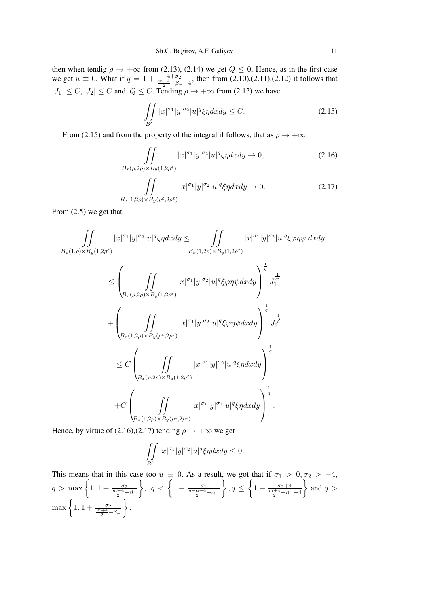then when tendig  $\rho \to +\infty$  from (2.13), (2.14) we get  $Q \le 0$ . Hence, as in the first case we get  $u \equiv 0$ . What if  $q = 1 + \frac{4+\sigma_2}{\frac{m+4}{2}+\beta_--4}$ , then from (2.10),(2.11),(2.12) it follows that  $|J_1| \leq C, |J_2| \leq C$  and  $Q \leq C$ . Tending  $\rho \to +\infty$  from (2.13) we have

$$
\iint\limits_{B'} |x|^{\sigma_1} |y|^{\sigma_2} |u|^q \xi \eta dx dy \le C. \tag{2.15}
$$

From (2.15) and from the property of the integral if follows, that as  $\rho \to +\infty$ 

$$
\iint_{B_x(\rho,2\rho)\times B_y(1,2\rho^{\epsilon})} |x|^{\sigma_1}|y|^{\sigma_2}|u|^q \xi \eta dx dy \to 0,
$$
\n(2.16)

$$
\iint_{B_x(1,2\rho)\times B_y(\rho^\varepsilon,2\rho^\varepsilon)} |x|^{\sigma_1}|y|^{\sigma_2}|u|^q \xi \eta dx dy \to 0.
$$
 (2.17)

From (2.5) we get that

$$
\iiint_{B_x(1,\rho)\times B_y(1,2\rho^{\varepsilon})} |x|^{\sigma_1}|y|^{\sigma_2}|u|^q\xi\eta dxdy \leq \iint_{B_x(1,2\rho)\times B_y(1,2\rho^{\varepsilon})} |x|^{\sigma_1}|y|^{\sigma_2}|u|^q\xi\varphi\eta\psi dxdy
$$
  

$$
\leq \left(\iint_{B_x(\rho,2\rho)\times B_y(1,2\rho^{\varepsilon})} |x|^{\sigma_1}|y|^{\sigma_2}|u|^q\xi\varphi\eta\psi dxdy\right)^{\frac{1}{q}} J_1^{\frac{1}{q'}} \\ + \left(\iint_{B_x(1,2\rho)\times B_y(\rho^{\varepsilon},2\rho^{\varepsilon})} |x|^{\sigma_1}|y|^{\sigma_2}|u|^q\xi\varphi\eta\psi dxdy\right)^{\frac{1}{q}} J_2^{\frac{1}{q'}} \\ \leq C \left(\iint_{B_x(\rho,2\rho)\times B_y(1,2\rho^{\varepsilon})} |x|^{\sigma_1}|y|^{\sigma_2}|u|^q\xi\eta dxdy\right)^{\frac{1}{q}} \\ + C \left(\iint_{B_x(1,2\rho)\times B_y(\rho^{\varepsilon},2\rho^{\varepsilon})} |x|^{\sigma_1}|y|^{\sigma_2}|u|^q\xi\eta dxdy\right)^{\frac{1}{q}}.
$$

Hence, by virtue of (2.16),(2.17) tending  $\rho \rightarrow +\infty$  we get

$$
\iint\limits_{B'} |x|^{\sigma_1} |y|^{\sigma_2} |u|^q \xi \eta dx dy \le 0.
$$

This means that in this case too  $u \equiv 0$ . As a result, we got that if  $\sigma_1 > 0, \sigma_2 > -4$ ,  $q > \max\left\{1, 1 + \frac{\sigma_2}{\frac{m+4}{2} + \beta_-}\right\}$ },  $q < \left\{1 + \frac{\sigma_1}{\frac{n-\alpha+4}{2} + \alpha_-}\right\}$  $\Big\}$ ,  $q \leq \left\{1 + \frac{\sigma_2 + 4}{\frac{m+4}{2} + \beta - 4}\right\}$  $\Big\}$  and  $q >$  $\max\left\{1, 1 + \frac{\sigma_2}{\frac{m+4}{2} + \beta_-}\right\}$  $\left.\right\}$ ,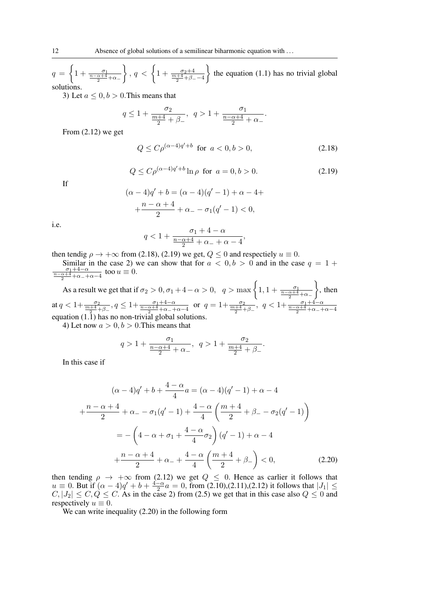$q = \left\{1 + \frac{\sigma_1}{\frac{n-\alpha+4}{2}+\alpha-1}\right\}$  $\Big\}, q < \Big\{1 + \frac{\sigma_2 + 4}{\frac{m+4}{2} + \beta - -4}$  $\}$  the equation (1.1) has no trivial global solutions.

3) Let  $a \leq 0, b > 0$ . This means that

$$
q \leq 1 + \frac{\sigma_2}{\frac{m+4}{2} + \beta_-}, \ \ q > 1 + \frac{\sigma_1}{\frac{n-\alpha+4}{2} + \alpha_-}.
$$

From (2.12) we get

$$
Q \le C \rho^{(\alpha - 4)q' + b} \text{ for } a < 0, b > 0,
$$
\n(2.18)

$$
Q \le C\rho^{(\alpha - 4)q' + b} \ln \rho \text{ for } a = 0, b > 0. \tag{2.19}
$$

If

$$
(\alpha - 4)q' + b = (\alpha - 4)(q' - 1) + \alpha - 4 +
$$
  
+ 
$$
\frac{n - \alpha + 4}{2} + \alpha - \sigma_1(q' - 1) < 0,
$$

i.e.

$$
q<1+\frac{\sigma_1+4-\alpha}{\frac{n-\alpha+4}{2}+\alpha_-+\alpha-4},
$$

then tendig  $\rho \to +\infty$  from (2.18), (2.19) we get,  $Q \le 0$  and respectiely  $u \equiv 0$ .

Similar in the case 2) we can show that for  $a < 0, b > 0$  and in the case  $q = 1 +$  $\frac{\sigma_1+4-\alpha}{\frac{n-\alpha+4}{2}+\alpha_-\alpha-4}$  too  $u\equiv 0$ .

As a result we get that if  $\sigma_2 > 0$ ,  $\sigma_1 + 4 - \alpha > 0$ ,  $q > \max\left\{1, 1 + \frac{\sigma_1}{\frac{n - \alpha + 4}{2} + \alpha - \alpha}\right\}$  $\Big\}$ , then at  $q < 1+\frac{\sigma_2}{\frac{m+4}{2}+\beta_-}$ ,  $q \leq 1+\frac{\sigma_1+4-\alpha}{\frac{n-\alpha+4}{2}+\alpha_--+\alpha-4}$  or  $q=1+\frac{\sigma_2}{\frac{m+4}{2}+\beta_-}$ ,  $q < 1+\frac{\sigma_1+4-\alpha}{\frac{n-\alpha+4}{2}+\alpha_--+\alpha-4}$ equation (1.1) has no non-trivial global solutions.

4) Let now  $a > 0, b > 0$ . This means that

$$
q>1+\frac{\sigma_1}{\frac{n-\alpha+4}{2}+\alpha_-},\ \ q>1+\frac{\sigma_2}{\frac{m+4}{2}+\beta_-}.
$$

In this case if

$$
(\alpha - 4)q' + b + \frac{4 - \alpha}{4}a = (\alpha - 4)(q' - 1) + \alpha - 4
$$
  
+ 
$$
\frac{n - \alpha + 4}{2} + \alpha - \sigma_1(q' - 1) + \frac{4 - \alpha}{4} \left(\frac{m + 4}{2} + \beta - \sigma_2(q' - 1)\right)
$$
  
= 
$$
-\left(4 - \alpha + \sigma_1 + \frac{4 - \alpha}{4}\sigma_2\right)(q' - 1) + \alpha - 4
$$
  
+ 
$$
\frac{n - \alpha + 4}{2} + \alpha - 4 + \frac{4 - \alpha}{4} \left(\frac{m + 4}{2} + \beta - \right) < 0,
$$
 (2.20)

then tending  $\rho \rightarrow +\infty$  from (2.12) we get  $Q \leq 0$ . Hence as carlier it follows that  $u \equiv 0$ . But if  $(\alpha - 4)q' + b + \frac{4-a}{2}$  $\frac{-\alpha}{2}a = 0$ , from (2.10),(2.11),(2.12) it follows that  $|J_1| \le$  $C, |J_2| \leq C, Q \leq C$ . As in the case 2) from (2.5) we get that in this case also  $Q \leq 0$  and respectively  $u \equiv 0$ .

We can write inequality (2.20) in the following form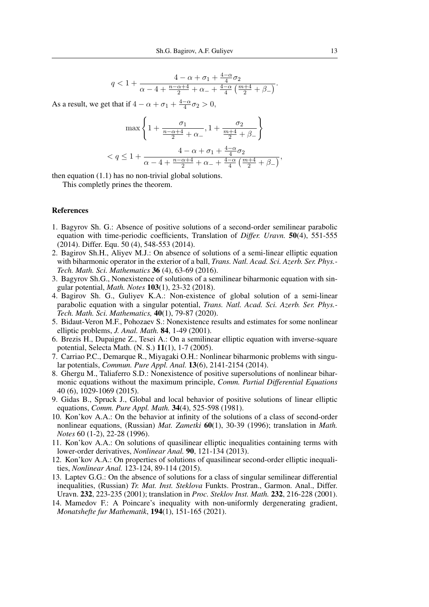$$
q < 1 + \frac{4 - \alpha + \sigma_1 + \frac{4 - \alpha}{4}\sigma_2}{\alpha - 4 + \frac{n - \alpha + 4}{2} + \alpha_- + \frac{4 - \alpha}{4}\left(\frac{m + 4}{2} + \beta_-\right)}.
$$

As a result, we get that if  $4 - \alpha + \sigma_1 + \frac{4-\alpha}{4}$  $\frac{-\alpha}{4}\sigma_2 > 0,$ 

$$
\max\left\{1+\frac{\sigma_1}{\frac{n-\alpha+4}{2}+\alpha_{-}}, 1+\frac{\sigma_2}{\frac{m+4}{2}+\beta_{-}}\right\}
$$
  

$$
< q \leq 1+\frac{4-\alpha+\sigma_1+\frac{4-\alpha}{4}\sigma_2}{\alpha-4+\frac{n-\alpha+4}{2}+\alpha_{-}+\frac{4-\alpha}{4}\left(\frac{m+4}{2}+\beta_{-}\right)},
$$

then equation (1.1) has no non-trivial global solutions. This completly prines the theorem.

## References

- 1. Bagyrov Sh. G.: Absence of positive solutions of a second-order semilinear parabolic equation with time-periodic coefficients, Translation of *Differ. Uravn.* 50(4), 551-555 (2014). Differ. Equ. 50 (4), 548-553 (2014).
- 2. Bagirov Sh.H., Aliyev M.J.: On absence of solutions of a semi-linear elliptic equation with biharmonic operator in the exterior of a ball, *Trans. Natl. Acad. Sci. Azerb. Ser. Phys.- Tech. Math. Sci. Mathematics* 36 (4), 63-69 (2016).
- 3. Bagyrov Sh.G., Nonexistence of solutions of a semilinear biharmonic equation with singular potential, *Math. Notes* 103(1), 23-32 (2018).
- 4. Bagirov Sh. G., Guliyev K.A.: Non-existence of global solution of a semi-linear parabolic equation with a singular potential, *Trans. Natl. Acad. Sci. Azerb. Ser. Phys.- Tech. Math. Sci. Mathematics,* 40(1), 79-87 (2020).
- 5. Bidaut-Veron M.F., Pohozaev S.: Nonexistence results and estimates for some nonlinear elliptic problems, *J. Anal. Math.* 84, 1-49 (2001).
- 6. Brezis H., Dupaigne Z., Tesei A.: On a semilinear elliptic equation with inverse-square potential, Selecta Math. (N. S.) 11(1), 1-7 (2005).
- 7. Carriao P.C., Demarque R., Miyagaki O.H.: Nonlinear biharmonic problems with singular potentials, *Commun. Pure Appl. Anal.* 13(6), 2141-2154 (2014).
- 8. Ghergu M., Taliaferro S.D.: Nonexistence of positive supersolutions of nonlinear biharmonic equations without the maximum principle, *Comm. Partial Differential Equations* 40 (6), 1029-1069 (2015).
- 9. Gidas B., Spruck J., Global and local behavior of positive solutions of linear elliptic equations, *Comm. Pure Appl. Math.* 34(4), 525-598 (1981).
- 10. Kon'kov A.A.: On the behavior at infinity of the solutions of a class of second-order nonlinear equations, (Russian) *Mat. Zametki* 60(1), 30-39 (1996); translation in *Math. Notes* 60 (1-2), 22-28 (1996).
- 11. Kon'kov A.A.: On solutions of quasilinear elliptic inequalities containing terms with lower-order derivatives, *Nonlinear Anal.* 90, 121-134 (2013).
- 12. Kon'kov A.A.: On properties of solutions of quasilinear second-order elliptic inequalities, *Nonlinear Anal.* 123-124, 89-114 (2015).
- 13. Laptev G.G.: On the absence of solutions for a class of singular semilinear differential inequalities, (Russian) *Tr. Mat. Inst. Steklova* Funkts. Prostran., Garmon. Anal., Differ. Uravn. 232, 223-235 (2001); translation in *Proc. Steklov Inst. Math.* 232, 216-228 (2001).
- 14. Mamedov F.: A Poincare's inequality with non-uniformly dergenerating gradient, *Monatshefte fur Mathematik*, 194(1), 151-165 (2021).